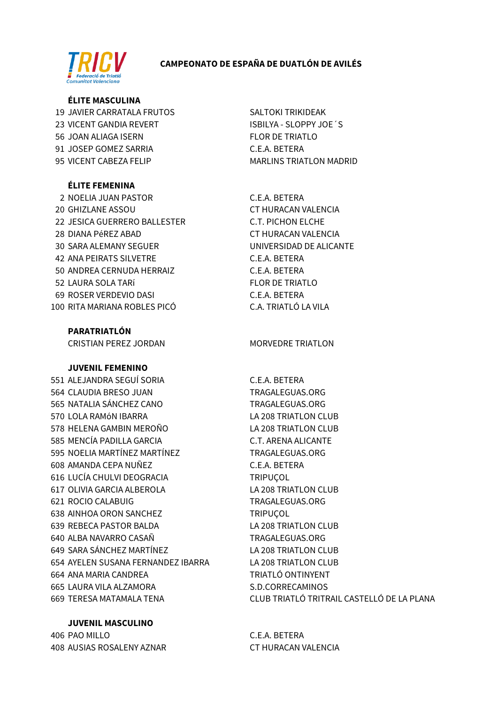# **CAMPEONATO DE ESPAÑA DE DUATLÓN DE AVILÉS**



## **ÉLITE MASCULINA**

19 JAVIER CARRATALA FRUTOS 23 VICENT GANDIA REVERT 56 JOAN ALIAGA ISERN 91 JOSEP GOMEZ SARRIA 95 VICENT CABEZA FELIP

# **ÉLITE FEMENINA**

2 NOELIA JUAN PASTOR **20 GHIZLANE ASSOU** 22 JESICA GUERRERO BALLESTER 28 DIANA PéREZ ABAD **30 SARA ALEMANY SEGUER 42 ANA PEIRATS SILVETRE** 50 ANDREA CERNUDA HERRAIZ 52 LAURA SOLA TARÍ 69 ROSER VERDEVIO DASI 100 RITA MARIANA ROBLES PICÓ

**PARATRIATLÓN** 

**CRISTIAN PEREZ JORDAN** 

# **JUVENIL FEMENINO**

551 ALEJANDRA SEGUÍ SORIA 564 CLAUDIA BRESO JUAN 565 NATALIA SÁNCHEZ CANO 570 LOLA RAMÓN IBARRA 578 HELENA GAMBIN MEROÑO 585 MENCÍA PADILLA GARCIA 595 NOELIA MARTÍNEZ MARTÍNEZ 608 AMANDA CEPA NUÑEZ 616 LUCÍA CHULVI DEOGRACIA 617 OLIVIA GARCIA ALBEROLA 621 ROCIO CALABUIG 638 AINHOA ORON SANCHEZ 639 REBECA PASTOR BALDA 640 ALBA NAVARRO CASAÑ 649 SARA SÁNCHEZ MARTÍNEZ 654 AYELEN SUSANA FERNANDEZ IBARRA 664 ANA MARIA CANDREA 665 LAURA VILA ALZAMORA **669 TERESA MATAMALA TENA** 

**JUVENIL MASCULINO** 

406 PAO MILLO 408 AUSIAS ROSALENY AZNAR **SALTOKI TRIKIDEAK** ISBILYA - SLOPPY JOE'S **FLOR DE TRIATLO** C.E.A. BETERA **MARLINS TRIATLON MADRID** 

C.E.A. BETERA CT HURACAN VALENCIA **C.T. PICHON ELCHE** CT HURACAN VALENCIA UNIVERSIDAD DE ALICANTE C.E.A. BETERA C.E.A. BETERA **FLOR DE TRIATLO** C.E.A. BETERA C.A. TRIATLÓ LA VILA

# **MORVEDRE TRIATLON**

C.E.A. BETERA TRAGALEGUAS.ORG TRAGALEGUAS.ORG LA 208 TRIATLON CLUB **LA 208 TRIATLON CLUB C.T. ARENA ALICANTE** TRAGALEGUAS.ORG C.E.A. BETERA **TRIPUCOL LA 208 TRIATLON CLUB** TRAGALEGUAS.ORG **TRIPUCOL** LA 208 TRIATLON CLUB TRAGALEGUAS.ORG LA 208 TRIATLON CLUB **LA 208 TRIATLON CLUB TRIATLÓ ONTINYENT** S.D.CORRECAMINOS CLUB TRIATLÓ TRITRAIL CASTELLÓ DE LA PLANA

C.E.A. BETERA CT HURACAN VALENCIA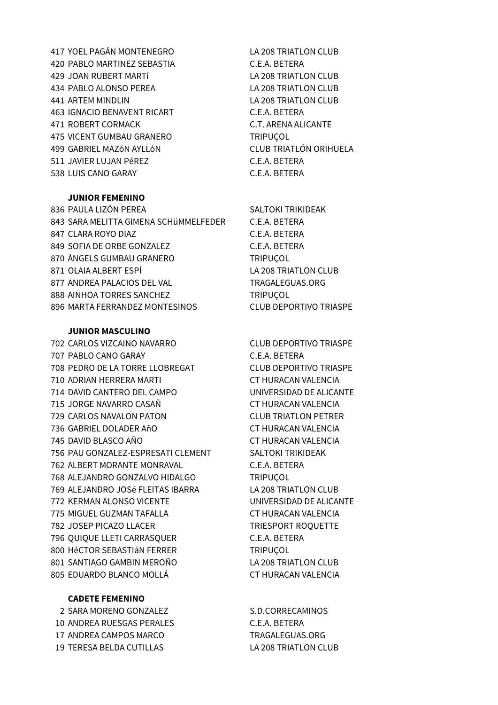YOEL PAGÁN MONTENEGRO LA 208 TRIATLON CLUB PABLO MARTINEZ SEBASTIA C.E.A. BETERA JOAN RUBERT MARTí LA 208 TRIATLON CLUB 434 PABLO ALONSO PEREA LA 208 TRIATLON CLUB ARTEM MINDLIN LA 208 TRIATLON CLUB IGNACIO BENAVENT RICART C.E.A. BETERA 471 ROBERT CORMACK C.T. ARENA ALICANTE 475 VICENT GUMBAU GRANERO TRIPUÇOL GABRIEL MAZóN AYLLóN CLUB TRIATLÓN ORIHUELA JAVIER LUJAN PéREZ C.E.A. BETERA LUIS CANO GARAY C.E.A. BETERA

### **JUNIOR FEMENINO**

836 PAULA LIZÓN PEREA SALTOKI TRIKIDEAK SARA MELITTA GIMENA SCHüMMELFEDER C.E.A. BETERA 847 CLARA ROYO DIAZ C.E.A. BETERA SOFIA DE ORBE GONZALEZ C.E.A. BETERA 870 ÀNGELS GUMBAU GRANERO TRIPUCOL 871 OLAIA ALBERT ESPÍ LA 208 TRIATLON CLUB 877 ANDREA PALACIOS DEL VAL TRAGALEGUAS.ORG 888 AINHOA TORRES SANCHEZ TRIPUÇOL MARTA FERRANDEZ MONTESINOS CLUB DEPORTIVO TRIASPE

#### **JUNIOR MASCULINO**

 CARLOS VIZCAINO NAVARRO CLUB DEPORTIVO TRIASPE PABLO CANO GARAY C.E.A. BETERA PEDRO DE LA TORRE LLOBREGAT CLUB DEPORTIVO TRIASPE ADRIAN HERRERA MARTI CT HURACAN VALENCIA DAVID CANTERO DEL CAMPO UNIVERSIDAD DE ALICANTE JORGE NAVARRO CASAÑ CT HURACAN VALENCIA CARLOS NAVALON PATON CLUB TRIATLON PETRER GABRIEL DOLADER AñO CT HURACAN VALENCIA DAVID BLASCO AÑO CT HURACAN VALENCIA 756 PAU GONZALEZ-ESPRESATI CLEMENT SALTOKI TRIKIDEAK ALBERT MORANTE MONRAVAL C.E.A. BETERA ALEJANDRO GONZALVO HIDALGO TRIPUÇOL ALEJANDRO JOSé FLEITAS IBARRA LA 208 TRIATLON CLUB KERMAN ALONSO VICENTE UNIVERSIDAD DE ALICANTE MIGUEL GUZMAN TAFALLA CT HURACAN VALENCIA 782 JOSEP PICAZO LLACER TRIESPORT ROQUETTE QUIQUE LLETI CARRASQUER C.E.A. BETERA 800 HéCTOR SEBASTIÁN FERRER TRIPUÇOL SANTIAGO GAMBIN MEROÑO LA 208 TRIATLON CLUB EDUARDO BLANCO MOLLÁ CT HURACAN VALENCIA

### **CADETE FEMENINO**

2 SARA MORENO GONZALEZ
SARA MORENO GONZALEZ
SARA MORENO GONZALEZ
SARA MORENO GONZALEZ ANDREA RUESGAS PERALES C.E.A. BETERA 17 ANDREA CAMPOS MARCO TRAGALEGUAS.ORG TERESA BELDA CUTILLAS LA 208 TRIATLON CLUB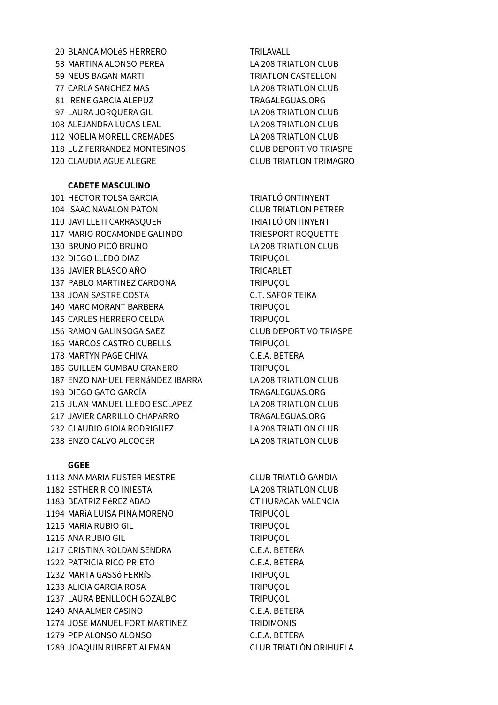20 BLANCA MOLÉS HERRERO TRILAVALL 53 MARTINA ALONSO PEREA LA 208 TRIATLON CLUB 59 NEUS BAGAN MARTI **TRIATLON CASTELLON** 77 CARLA SANCHEZ MAS
LA 208 TRIATLON CLUB 81 IRENE GARCIA ALEPUZ TRAGALEGUAS.ORG 97 LAURA JORQUERA GIL LA 208 TRIATLON CLUB 108 ALEJANDRA LUCAS LEAL LA 208 TRIATLON CLUB 112 NOELIA MORELL CREMADES LA 208 TRIATLON CLUB 118 LUZ FERRANDEZ MONTESINOS CLUB DEPORTIVO TRIASPE 120 CLAUDIA AGUE ALEGRE CLUB TRIATLON TRIMAGRO

### **CADETE MASCULINO**

101 HECTOR TOLSA GARCIA TRIATLÓ ONTINYENT 104 ISAAC NAVALON PATON CLUB TRIATLON PETRER 110 JAVI LLETI CARRASOUER TRIATLÓ ONTINYENT 117 MARIO ROCAMONDE GALINDO TRIESPORT ROQUETTE 130 BRUNO PICÓ BRUNO LA 208 TRIATLON CLUB 132 DIEGO LLEDO DIAZ TRIPUÇOL 136 JAVIER BLASCO AÑO TRICARLET 137 PABLO MARTINEZ CARDONA TRIPUÇOL 138 JOAN SASTRE COSTA C.T. SAFOR TEIKA 140 MARC MORANT BARBERA TRIPUÇOL 145 CARLES HERRERO CELDA TRIPUÇOL 156 RAMON GALINSOGA SAEZ CLUB DEPORTIVO TRIASPE 165 MARCOS CASTRO CUBELLS TRIPUÇOL 178 MARTYN PAGE CHIVA C.E.A. BETERA 186 GUILLEM GUMBAU GRANERO TRIPUÇOL 187 ENZO NAHUEL FERNáNDEZ IBARRA LA 208 TRIATLON CLUB 193 DIEGO GATO GARCÍA TRAGALEGUAS.ORG 215 JUAN MANUEL LLEDO ESCLAPEZ LA 208 TRIATLON CLUB 217 JAVIER CARRILLO CHAPARRO TRAGALEGUAS.ORG 232 CLAUDIO GIOIA RODRIGUEZ LA 208 TRIATLON CLUB 238 ENZO CALVO ALCOCER LA 208 TRIATLON CLUB

#### **GGEE**

 ANA MARIA FUSTER MESTRE CLUB TRIATLÓ GANDIA ESTHER RICO INIESTA LA 208 TRIATLON CLUB BEATRIZ PéREZ ABAD CT HURACAN VALENCIA 1194 MARÍA LUISA PINA MORENO TRIPUÇOL 1215 MARIA RUBIO GIL TRIPUÇOL ANA RUBIO GIL TRIPUÇOL CRISTINA ROLDAN SENDRA C.E.A. BETERA PATRICIA RICO PRIETO C.E.A. BETERA 1232 MARTA GASSÓ FERRÍS TRIPUÇOL ALICIA GARCIA ROSA TRIPUÇOL LAURA BENLLOCH GOZALBO TRIPUÇOL ANA ALMER CASINO C.E.A. BETERA JOSE MANUEL FORT MARTINEZ TRIDIMONIS PEP ALONSO ALONSO C.E.A. BETERA JOAQUIN RUBERT ALEMAN CLUB TRIATLÓN ORIHUELA